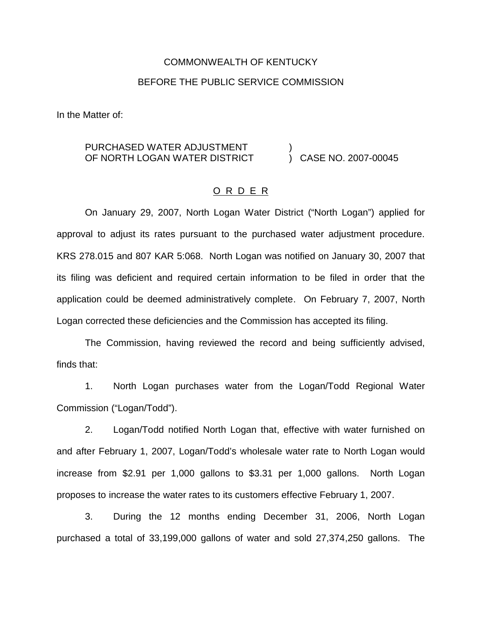# COMMONWEALTH OF KENTUCKY BEFORE THE PUBLIC SERVICE COMMISSION

In the Matter of:

#### PURCHASED WATER ADJUSTMENT OF NORTH LOGAN WATER DISTRICT ) ) CASE NO. 2007-00045

#### O R D E R

On January 29, 2007, North Logan Water District ("North Logan") applied for approval to adjust its rates pursuant to the purchased water adjustment procedure. KRS 278.015 and 807 KAR 5:068. North Logan was notified on January 30, 2007 that its filing was deficient and required certain information to be filed in order that the application could be deemed administratively complete. On February 7, 2007, North Logan corrected these deficiencies and the Commission has accepted its filing.

The Commission, having reviewed the record and being sufficiently advised, finds that:

1. North Logan purchases water from the Logan/Todd Regional Water Commission ("Logan/Todd").

2. Logan/Todd notified North Logan that, effective with water furnished on and after February 1, 2007, Logan/Todd's wholesale water rate to North Logan would increase from \$2.91 per 1,000 gallons to \$3.31 per 1,000 gallons. North Logan proposes to increase the water rates to its customers effective February 1, 2007.

3. During the 12 months ending December 31, 2006, North Logan purchased a total of 33,199,000 gallons of water and sold 27,374,250 gallons. The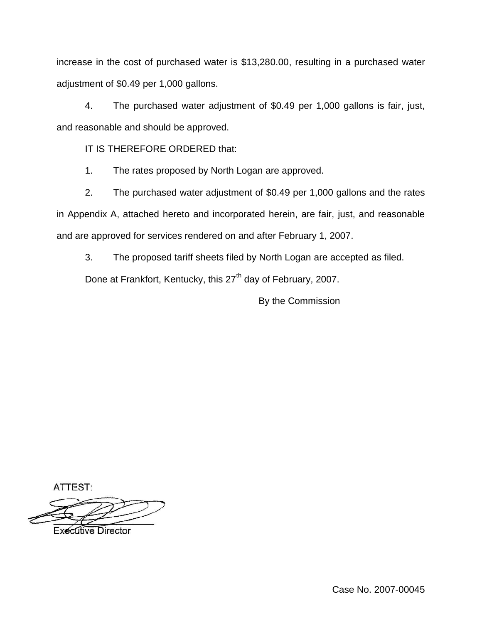increase in the cost of purchased water is \$13,280.00, resulting in a purchased water adjustment of \$0.49 per 1,000 gallons.

4. The purchased water adjustment of \$0.49 per 1,000 gallons is fair, just, and reasonable and should be approved.

IT IS THEREFORE ORDERED that:

1. The rates proposed by North Logan are approved.

2. The purchased water adjustment of \$0.49 per 1,000 gallons and the rates in Appendix A, attached hereto and incorporated herein, are fair, just, and reasonable and are approved for services rendered on and after February 1, 2007.

3. The proposed tariff sheets filed by North Logan are accepted as filed.

Done at Frankfort, Kentucky, this 27<sup>th</sup> day of February, 2007.

By the Commission

ATTEST:

**Executive Director** 

Case No. 2007-00045